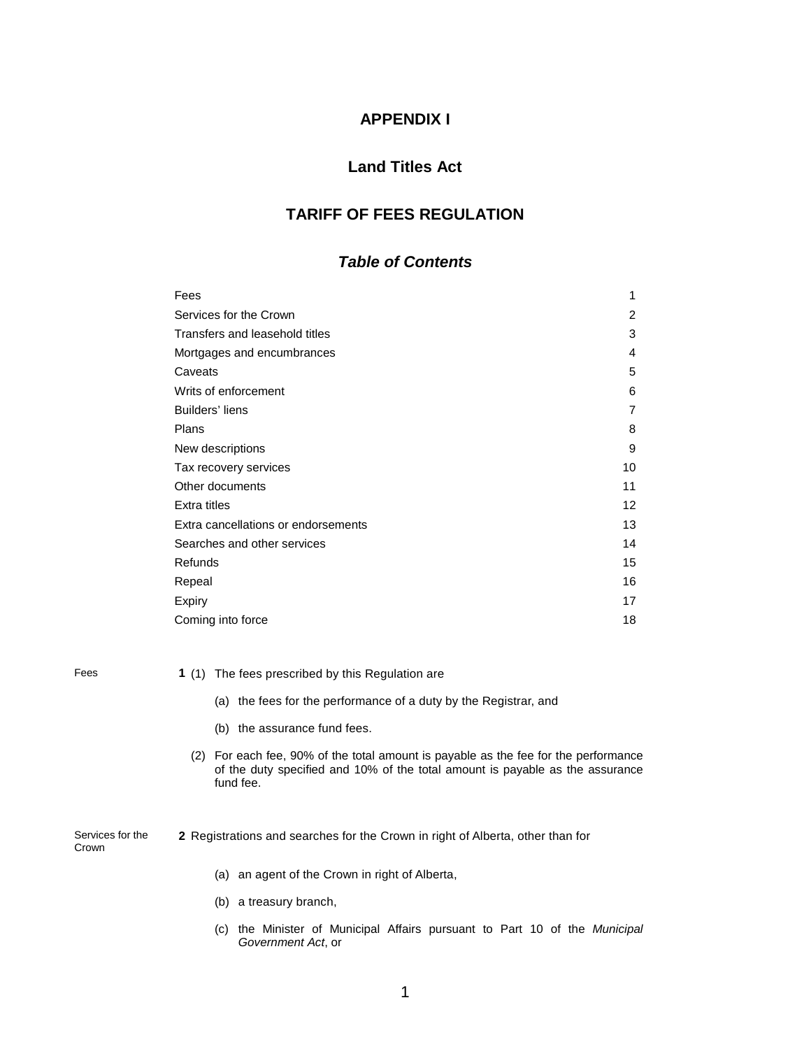### **APPENDIX I**

### **Land Titles Act**

### **TARIFF OF FEES REGULATION**

### *Table of Contents*

| Fees                                | 1                 |
|-------------------------------------|-------------------|
| Services for the Crown              | 2                 |
| Transfers and leasehold titles      | 3                 |
| Mortgages and encumbrances          | 4                 |
| Caveats                             | 5                 |
| Writs of enforcement                | 6                 |
| Builders' liens                     | 7                 |
| Plans                               | 8                 |
| New descriptions                    | 9                 |
| Tax recovery services               | 10                |
| Other documents                     | 11                |
| Extra titles                        | $12 \overline{ }$ |
| Extra cancellations or endorsements | 13                |
| Searches and other services         | 14                |
| <b>Refunds</b>                      | 15                |
| Repeal                              | 16                |
| Expiry                              | 17                |
| Coming into force                   | 18                |
|                                     |                   |

Fees **1** (1) The fees prescribed by this Regulation are

- (a) the fees for the performance of a duty by the Registrar, and
- (b) the assurance fund fees.
- (2) For each fee, 90% of the total amount is payable as the fee for the performance of the duty specified and 10% of the total amount is payable as the assurance fund fee.

Services for the Crown

- **2** Registrations and searches for the Crown in right of Alberta, other than for
	- (a) an agent of the Crown in right of Alberta,
	- (b) a treasury branch,
	- (c) the Minister of Municipal Affairs pursuant to Part 10 of the *Municipal Government Act*, or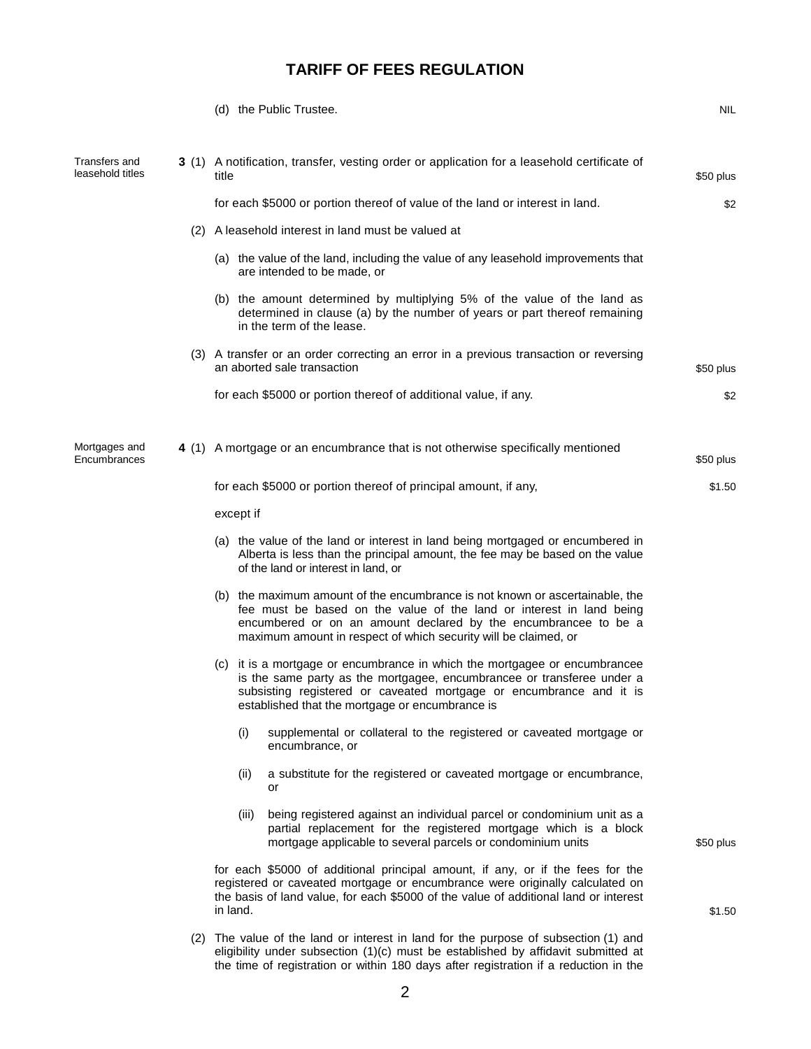|                                   |           | (d) the Public Trustee.                                                                                                                                                                                                                                                                    | NIL       |
|-----------------------------------|-----------|--------------------------------------------------------------------------------------------------------------------------------------------------------------------------------------------------------------------------------------------------------------------------------------------|-----------|
| Transfers and<br>leasehold titles | title     | 3 (1) A notification, transfer, vesting order or application for a leasehold certificate of                                                                                                                                                                                                | \$50 plus |
|                                   |           | for each \$5000 or portion thereof of value of the land or interest in land.                                                                                                                                                                                                               | \$2       |
|                                   |           | (2) A leasehold interest in land must be valued at                                                                                                                                                                                                                                         |           |
|                                   |           | (a) the value of the land, including the value of any leasehold improvements that<br>are intended to be made, or                                                                                                                                                                           |           |
|                                   |           | (b) the amount determined by multiplying 5% of the value of the land as<br>determined in clause (a) by the number of years or part thereof remaining<br>in the term of the lease.                                                                                                          |           |
|                                   |           | (3) A transfer or an order correcting an error in a previous transaction or reversing<br>an aborted sale transaction                                                                                                                                                                       | \$50 plus |
|                                   |           | for each \$5000 or portion thereof of additional value, if any.                                                                                                                                                                                                                            | \$2       |
| Mortgages and<br>Encumbrances     |           | 4 (1) A mortgage or an encumbrance that is not otherwise specifically mentioned                                                                                                                                                                                                            | \$50 plus |
|                                   |           | for each \$5000 or portion thereof of principal amount, if any,                                                                                                                                                                                                                            | \$1.50    |
|                                   | except if |                                                                                                                                                                                                                                                                                            |           |
|                                   |           | (a) the value of the land or interest in land being mortgaged or encumbered in<br>Alberta is less than the principal amount, the fee may be based on the value<br>of the land or interest in land, or                                                                                      |           |
|                                   |           | (b) the maximum amount of the encumbrance is not known or ascertainable, the<br>fee must be based on the value of the land or interest in land being<br>encumbered or on an amount declared by the encumbrancee to be a<br>maximum amount in respect of which security will be claimed, or |           |
|                                   |           | (c) it is a mortgage or encumbrance in which the mortgagee or encumbrancee<br>is the same party as the mortgagee, encumbrancee or transferee under a<br>subsisting registered or caveated mortgage or encumbrance and it is<br>established that the mortgage or encumbrance is             |           |
|                                   | (i)       | supplemental or collateral to the registered or caveated mortgage or<br>encumbrance, or                                                                                                                                                                                                    |           |
|                                   | (ii)      | a substitute for the registered or caveated mortgage or encumbrance,<br>or                                                                                                                                                                                                                 |           |
|                                   | (iii)     | being registered against an individual parcel or condominium unit as a<br>partial replacement for the registered mortgage which is a block<br>mortgage applicable to several parcels or condominium units                                                                                  | \$50 plus |
|                                   | in land.  | for each \$5000 of additional principal amount, if any, or if the fees for the<br>registered or caveated mortgage or encumbrance were originally calculated on<br>the basis of land value, for each \$5000 of the value of additional land or interest                                     | \$1.50    |
|                                   |           | (2) The value of the land or interest in land for the purpose of subsection (1) and<br>eligibility under subsection (1)(c) must be established by affidavit submitted at<br>the time of registration or within 180 days after registration if a reduction in the                           |           |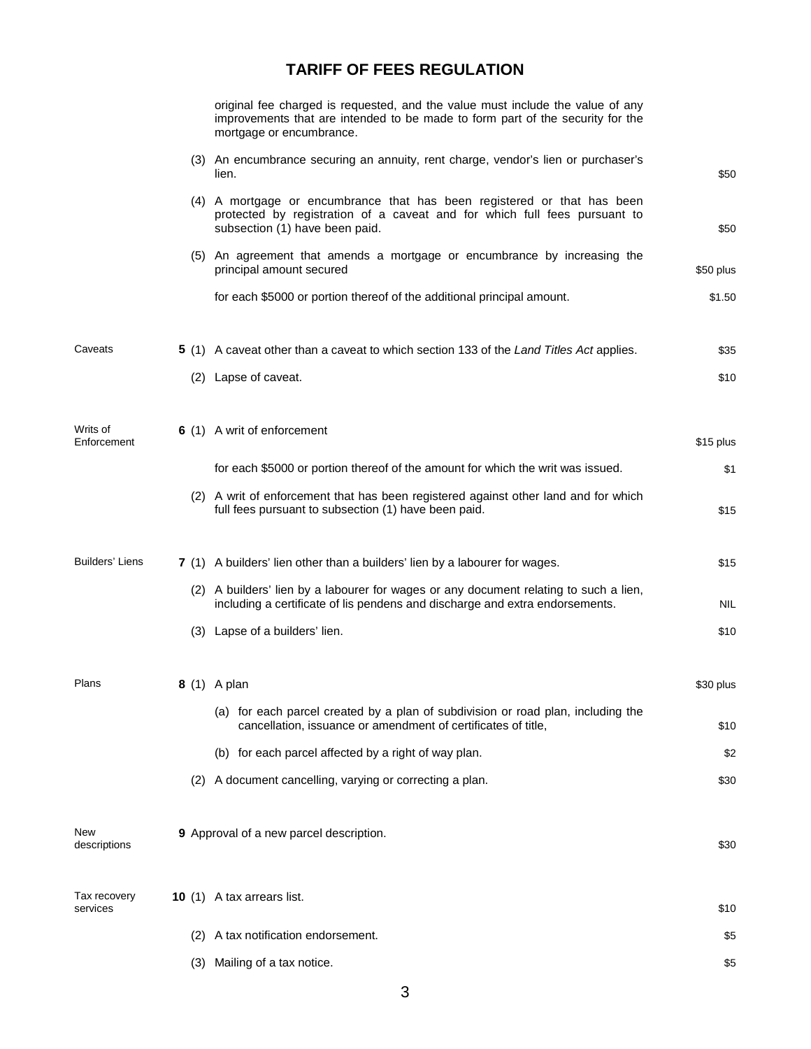|                          |     | original fee charged is requested, and the value must include the value of any<br>improvements that are intended to be made to form part of the security for the<br>mortgage or encumbrance. |            |
|--------------------------|-----|----------------------------------------------------------------------------------------------------------------------------------------------------------------------------------------------|------------|
|                          |     | (3) An encumbrance securing an annuity, rent charge, vendor's lien or purchaser's<br>lien.                                                                                                   | \$50       |
|                          |     | (4) A mortgage or encumbrance that has been registered or that has been<br>protected by registration of a caveat and for which full fees pursuant to<br>subsection (1) have been paid.       | \$50       |
|                          |     | (5) An agreement that amends a mortgage or encumbrance by increasing the<br>principal amount secured                                                                                         | \$50 plus  |
|                          |     | for each \$5000 or portion thereof of the additional principal amount.                                                                                                                       | \$1.50     |
| Caveats                  |     | 5 (1) A caveat other than a caveat to which section 133 of the Land Titles Act applies.                                                                                                      | \$35       |
|                          |     | (2) Lapse of caveat.                                                                                                                                                                         | \$10       |
| Writs of<br>Enforcement  |     | 6 (1) A writ of enforcement                                                                                                                                                                  | \$15 plus  |
|                          |     | for each \$5000 or portion thereof of the amount for which the writ was issued.                                                                                                              | \$1        |
|                          |     | (2) A writ of enforcement that has been registered against other land and for which<br>full fees pursuant to subsection (1) have been paid.                                                  | \$15       |
| Builders' Liens          |     | 7 (1) A builders' lien other than a builders' lien by a labourer for wages.                                                                                                                  | \$15       |
|                          |     | (2) A builders' lien by a labourer for wages or any document relating to such a lien,<br>including a certificate of lis pendens and discharge and extra endorsements.                        | <b>NIL</b> |
|                          |     | (3) Lapse of a builders' lien.                                                                                                                                                               | \$10       |
| Plans                    |     | <b>8</b> (1) A plan                                                                                                                                                                          | \$30 plus  |
|                          |     | (a) for each parcel created by a plan of subdivision or road plan, including the<br>cancellation, issuance or amendment of certificates of title,                                            | \$10       |
|                          |     | (b) for each parcel affected by a right of way plan.                                                                                                                                         | \$2        |
|                          | (2) | A document cancelling, varying or correcting a plan.                                                                                                                                         | \$30       |
| New<br>descriptions      |     | 9 Approval of a new parcel description.                                                                                                                                                      | \$30       |
| Tax recovery<br>services |     | <b>10</b> (1) A tax arrears list.                                                                                                                                                            | \$10       |
|                          | (2) | A tax notification endorsement.                                                                                                                                                              | \$5        |
|                          |     | (3) Mailing of a tax notice.                                                                                                                                                                 | \$5        |
|                          |     |                                                                                                                                                                                              |            |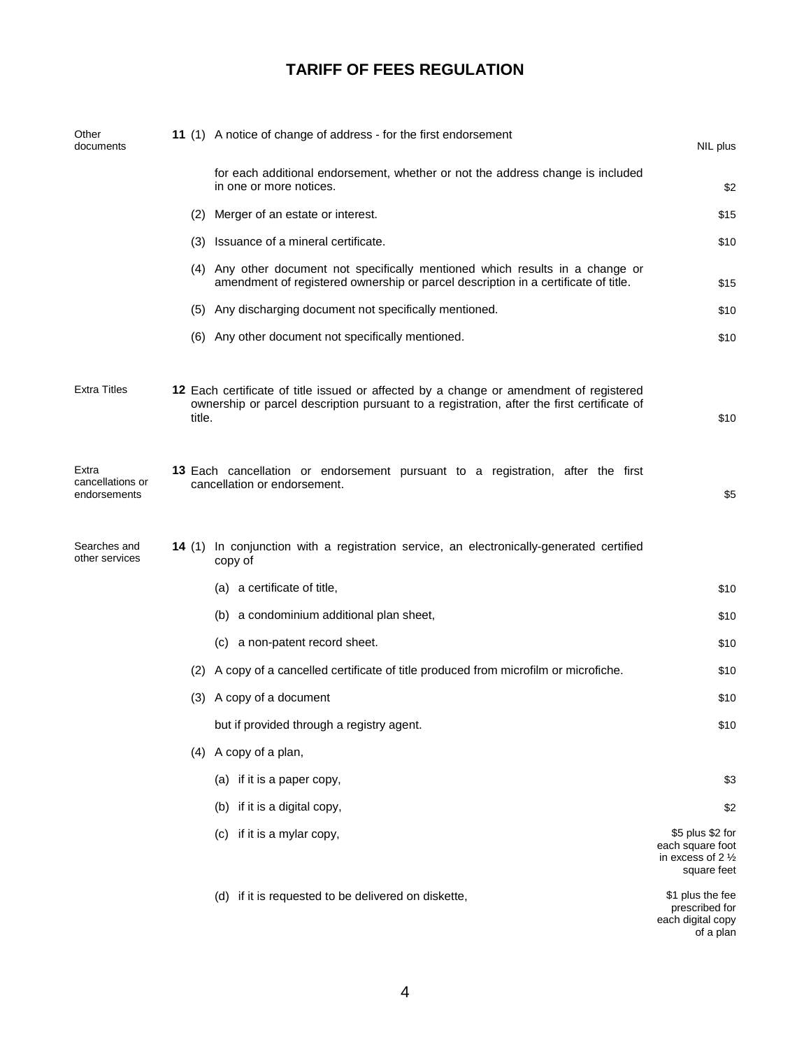| Other<br>documents                        |  |        | 11 (1) A notice of change of address - for the first endorsement                                                                                                                     | NIL plus                                                                           |     |                      |      |  |
|-------------------------------------------|--|--------|--------------------------------------------------------------------------------------------------------------------------------------------------------------------------------------|------------------------------------------------------------------------------------|-----|----------------------|------|--|
|                                           |  |        | for each additional endorsement, whether or not the address change is included<br>in one or more notices.                                                                            | \$2                                                                                |     |                      |      |  |
|                                           |  | (2)    | Merger of an estate or interest.                                                                                                                                                     | \$15                                                                               |     |                      |      |  |
|                                           |  |        | (3) Issuance of a mineral certificate.                                                                                                                                               | \$10                                                                               |     |                      |      |  |
|                                           |  |        | (4) Any other document not specifically mentioned which results in a change or<br>amendment of registered ownership or parcel description in a certificate of title.                 | \$15                                                                               |     |                      |      |  |
|                                           |  |        | (5) Any discharging document not specifically mentioned.                                                                                                                             | \$10                                                                               |     |                      |      |  |
|                                           |  |        | (6) Any other document not specifically mentioned.                                                                                                                                   | \$10                                                                               |     |                      |      |  |
| <b>Extra Titles</b>                       |  | title. | 12 Each certificate of title issued or affected by a change or amendment of registered<br>ownership or parcel description pursuant to a registration, after the first certificate of |                                                                                    |     |                      |      |  |
| Extra<br>cancellations or<br>endorsements |  |        | 13 Each cancellation or endorsement pursuant to a registration, after the first<br>cancellation or endorsement.                                                                      | \$5                                                                                |     |                      |      |  |
| Searches and<br>other services            |  |        | 14 (1) In conjunction with a registration service, an electronically-generated certified<br>copy of                                                                                  |                                                                                    |     |                      |      |  |
|                                           |  |        | (a) a certificate of title,                                                                                                                                                          | \$10                                                                               |     |                      |      |  |
|                                           |  |        | (b) a condominium additional plan sheet,                                                                                                                                             | \$10                                                                               |     |                      |      |  |
|                                           |  |        | (c) a non-patent record sheet.                                                                                                                                                       | \$10                                                                               |     |                      |      |  |
|                                           |  |        | (2) A copy of a cancelled certificate of title produced from microfilm or microfiche.                                                                                                | \$10                                                                               |     |                      |      |  |
|                                           |  |        |                                                                                                                                                                                      |                                                                                    | (3) | A copy of a document | \$10 |  |
|                                           |  |        |                                                                                                                                                                                      |                                                                                    |     |                      |      |  |
|                                           |  |        |                                                                                                                                                                                      | (4) A copy of a plan,                                                              |     |                      |      |  |
|                                           |  |        | (a) if it is a paper copy,                                                                                                                                                           | \$3                                                                                |     |                      |      |  |
|                                           |  |        | (b) if it is a digital copy,                                                                                                                                                         | \$2                                                                                |     |                      |      |  |
|                                           |  |        | if it is a mylar copy,<br>(C)                                                                                                                                                        | \$5 plus \$2 for<br>each square foot<br>in excess of $2\frac{1}{2}$<br>square feet |     |                      |      |  |
|                                           |  |        | (d) if it is requested to be delivered on diskette,                                                                                                                                  | \$1 plus the fee<br>prescribed for<br>each digital copy<br>of a plan               |     |                      |      |  |